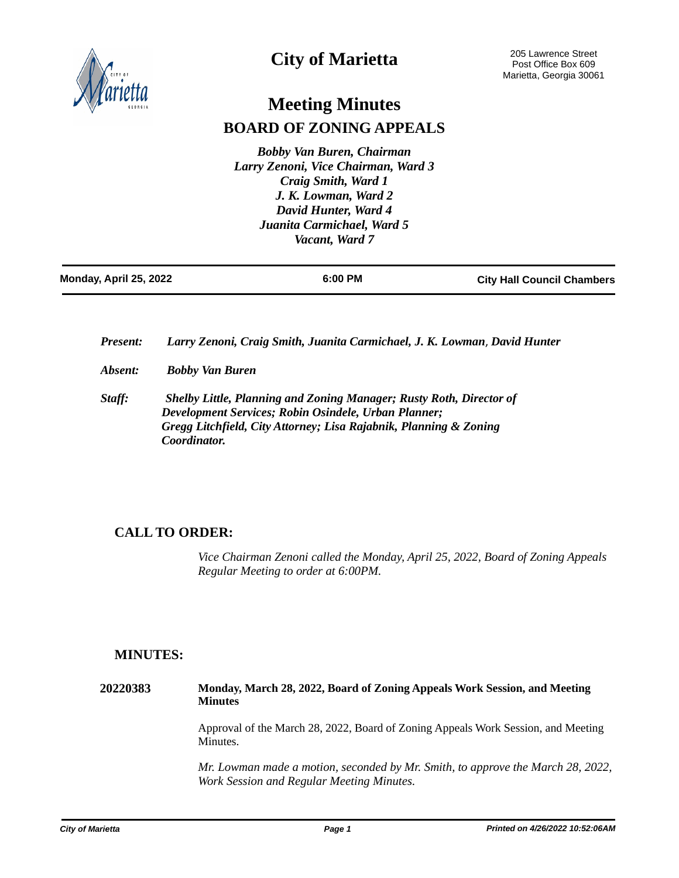

# **City of Marietta**

# **Meeting Minutes BOARD OF ZONING APPEALS**

*Bobby Van Buren, Chairman Larry Zenoni, Vice Chairman, Ward 3 Craig Smith, Ward 1 J. K. Lowman, Ward 2 David Hunter, Ward 4 Juanita Carmichael, Ward 5 Vacant, Ward 7*

| Monday, April 25, 2022 | 6:00 PM | <b>City Hall Council Chambers</b> |
|------------------------|---------|-----------------------------------|
|                        |         |                                   |

*Present: Larry Zenoni, Craig Smith, Juanita Carmichael, J. K. Lowman*, *David Hunter*

- *Absent: Bobby Van Buren*
- *Staff: Shelby Little, Planning and Zoning Manager; Rusty Roth, Director of Development Services; Robin Osindele, Urban Planner; Gregg Litchfield, City Attorney; Lisa Rajabnik, Planning & Zoning Coordinator.*

# **CALL TO ORDER:**

*Vice Chairman Zenoni called the Monday, April 25, 2022, Board of Zoning Appeals Regular Meeting to order at 6:00PM.*

# **MINUTES:**

**20220383 Monday, March 28, 2022, Board of Zoning Appeals Work Session, and Meeting Minutes** Approval of the March 28, 2022, Board of Zoning Appeals Work Session, and Meeting Minutes.

> *Mr. Lowman made a motion, seconded by Mr. Smith, to approve the March 28, 2022, Work Session and Regular Meeting Minutes.*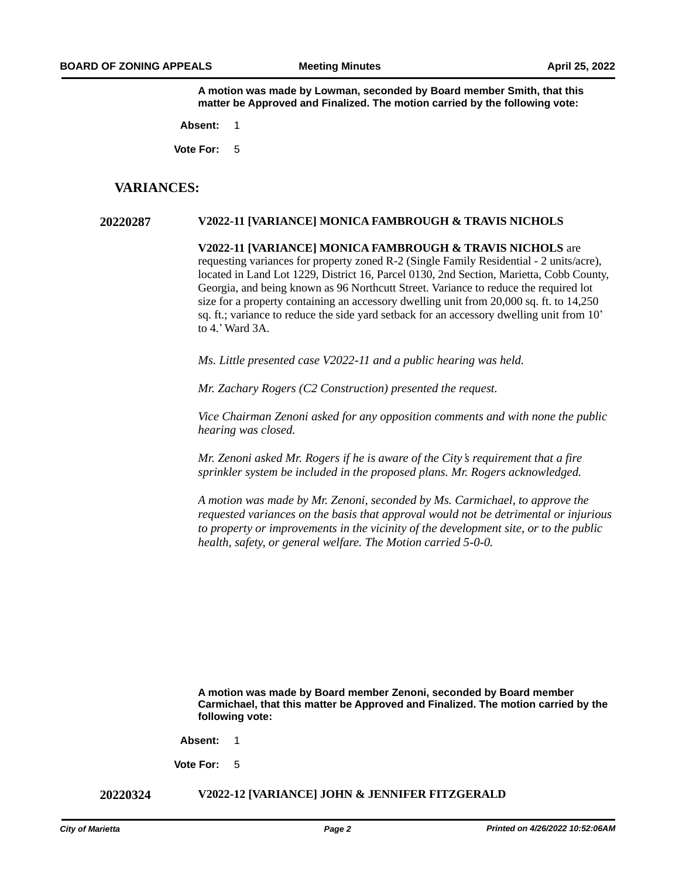**A motion was made by Lowman, seconded by Board member Smith, that this matter be Approved and Finalized. The motion carried by the following vote:**

**Absent:** 1

**Vote For:** 5

## **VARIANCES:**

### **20220287 V2022-11 [VARIANCE] MONICA FAMBROUGH & TRAVIS NICHOLS**

**V2022-11 [VARIANCE] MONICA FAMBROUGH & TRAVIS NICHOLS** are requesting variances for property zoned R-2 (Single Family Residential - 2 units/acre), located in Land Lot 1229, District 16, Parcel 0130, 2nd Section, Marietta, Cobb County, Georgia, and being known as 96 Northcutt Street. Variance to reduce the required lot size for a property containing an accessory dwelling unit from 20,000 sq. ft. to 14,250 sq. ft.; variance to reduce the side yard setback for an accessory dwelling unit from 10' to 4.'Ward 3A.

*Ms. Little presented case V2022-11 and a public hearing was held.*

*Mr. Zachary Rogers (C2 Construction) presented the request.*

*Vice Chairman Zenoni asked for any opposition comments and with none the public hearing was closed.* 

*Mr. Zenoni asked Mr. Rogers if he is aware of the City's requirement that a fire sprinkler system be included in the proposed plans. Mr. Rogers acknowledged.* 

*A motion was made by Mr. Zenoni, seconded by Ms. Carmichael, to approve the requested variances on the basis that approval would not be detrimental or injurious to property or improvements in the vicinity of the development site, or to the public health, safety, or general welfare. The Motion carried 5-0-0.* 

**A motion was made by Board member Zenoni, seconded by Board member Carmichael, that this matter be Approved and Finalized. The motion carried by the following vote:**

**Absent:** 1

**Vote For:** 5

**20220324 V2022-12 [VARIANCE] JOHN & JENNIFER FITZGERALD**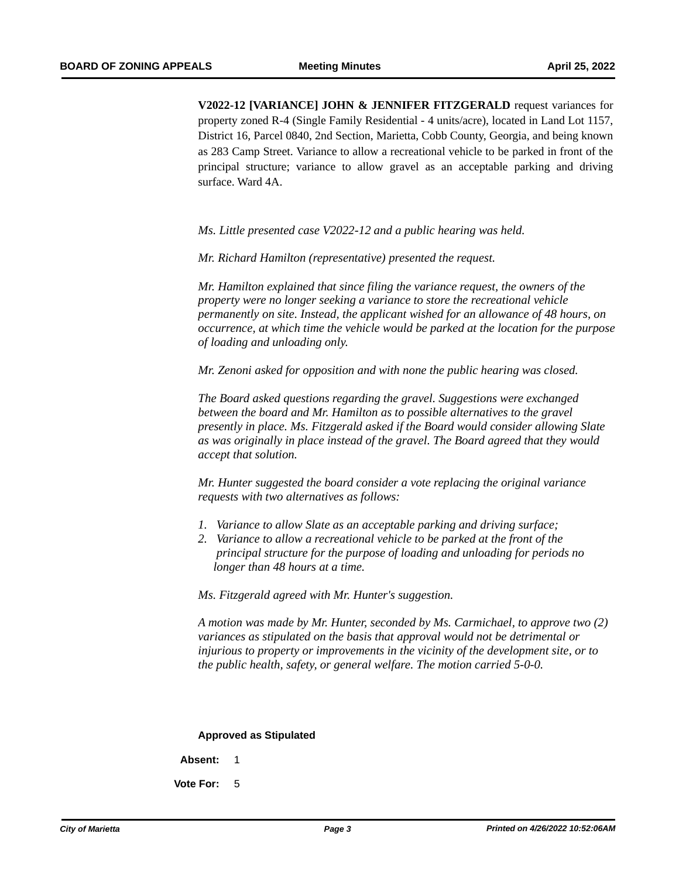**V2022-12 [VARIANCE] JOHN & JENNIFER FITZGERALD** request variances for property zoned R-4 (Single Family Residential - 4 units/acre), located in Land Lot 1157, District 16, Parcel 0840, 2nd Section, Marietta, Cobb County, Georgia, and being known as 283 Camp Street. Variance to allow a recreational vehicle to be parked in front of the principal structure; variance to allow gravel as an acceptable parking and driving surface. Ward 4A.

*Ms. Little presented case V2022-12 and a public hearing was held.* 

*Mr. Richard Hamilton (representative) presented the request.* 

*Mr. Hamilton explained that since filing the variance request, the owners of the property were no longer seeking a variance to store the recreational vehicle permanently on site. Instead, the applicant wished for an allowance of 48 hours, on occurrence, at which time the vehicle would be parked at the location for the purpose of loading and unloading only.* 

*Mr. Zenoni asked for opposition and with none the public hearing was closed.*

*The Board asked questions regarding the gravel. Suggestions were exchanged between the board and Mr. Hamilton as to possible alternatives to the gravel presently in place. Ms. Fitzgerald asked if the Board would consider allowing Slate as was originally in place instead of the gravel. The Board agreed that they would accept that solution.* 

*Mr. Hunter suggested the board consider a vote replacing the original variance requests with two alternatives as follows:*

- *1. Variance to allow Slate as an acceptable parking and driving surface;*
- *2. Variance to allow a recreational vehicle to be parked at the front of the principal structure for the purpose of loading and unloading for periods no longer than 48 hours at a time.*

*Ms. Fitzgerald agreed with Mr. Hunter's suggestion.* 

*A motion was made by Mr. Hunter, seconded by Ms. Carmichael, to approve two (2) variances as stipulated on the basis that approval would not be detrimental or injurious to property or improvements in the vicinity of the development site, or to the public health, safety, or general welfare. The motion carried 5-0-0.* 

#### **Approved as Stipulated**

**Absent:** 1

**Vote For:** 5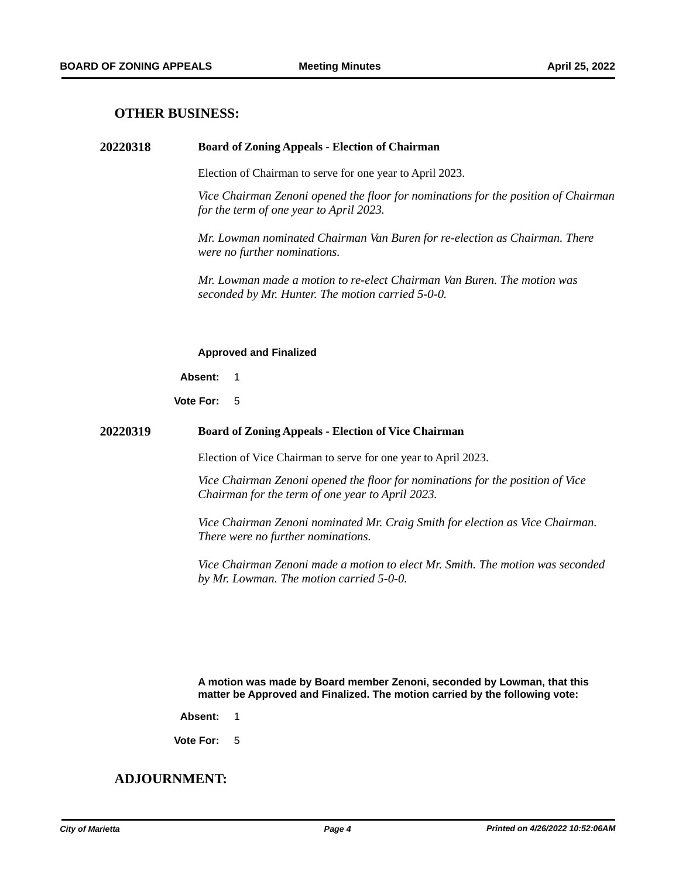## **OTHER BUSINESS:**

### **20220318 Board of Zoning Appeals - Election of Chairman**

Election of Chairman to serve for one year to April 2023.

*Vice Chairman Zenoni opened the floor for nominations for the position of Chairman for the term of one year to April 2023.*

*Mr. Lowman nominated Chairman Van Buren for re-election as Chairman. There were no further nominations.* 

*Mr. Lowman made a motion to re-elect Chairman Van Buren. The motion was seconded by Mr. Hunter. The motion carried 5-0-0.* 

#### **Approved and Finalized**

**Absent:** 1

**Vote For:** 5

### **20220319 Board of Zoning Appeals - Election of Vice Chairman**

Election of Vice Chairman to serve for one year to April 2023.

*Vice Chairman Zenoni opened the floor for nominations for the position of Vice Chairman for the term of one year to April 2023.*

*Vice Chairman Zenoni nominated Mr. Craig Smith for election as Vice Chairman. There were no further nominations.* 

*Vice Chairman Zenoni made a motion to elect Mr. Smith. The motion was seconded by Mr. Lowman. The motion carried 5-0-0.* 

**A motion was made by Board member Zenoni, seconded by Lowman, that this matter be Approved and Finalized. The motion carried by the following vote:**

**Absent:** 1

**Vote For:** 5

# **ADJOURNMENT:**